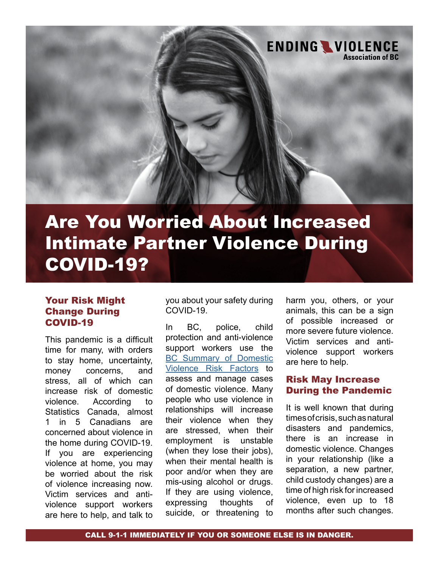

# Are You Worried About Increased Intimate Partner Violence During COVID-19?

## Your Risk Might Change During COVID-19

This pandemic is a difficult time for many, with orders to stay home, uncertainty, money concerns, and stress, all of which can increase risk of domestic violence. According to Statistics Canada, almost 1 in 5 Canadians are concerned about violence in the home during COVID-19. If you are experiencing violence at home, you may be worried about the risk of violence increasing now. Victim services and antiviolence support workers are here to help, and talk to

you about your safety during COVID-19.

In BC, police, child protection and anti-violence support workers use the [BC Summary of Domestic](https://endingviolence.org/publications/summary-domestic-violence-risk-factors-mpssg/)  [Violence Risk Factors](https://endingviolence.org/publications/summary-domestic-violence-risk-factors-mpssg/) to assess and manage cases of domestic violence. Many people who use violence in relationships will increase their violence when they are stressed, when their employment is unstable (when they lose their jobs), when their mental health is poor and/or when they are mis-using alcohol or drugs. If they are using violence, expressing thoughts of suicide, or threatening to

harm you, others, or your animals, this can be a sign of possible increased or more severe future violence. Victim services and antiviolence support workers are here to help.

#### Risk May Increase During the Pandemic

It is well known that during times of crisis, such as natural disasters and pandemics, there is an increase in domestic violence. Changes in your relationship (like a separation, a new partner, child custody changes) are a time of high risk for increased violence, even up to 18 months after such changes.